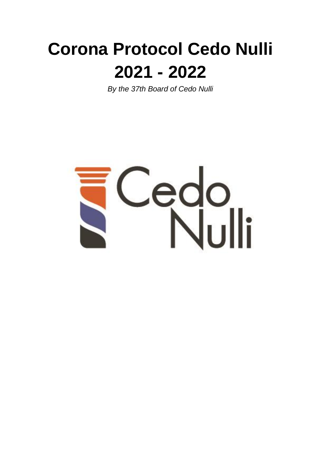# **Corona Protocol Cedo Nulli 2021 - 2022**

*By the 37th Board of Cedo Nulli*

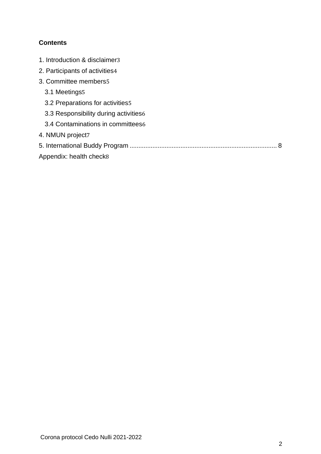## **Contents**

| 1. Introduction & disclaimer3          |
|----------------------------------------|
| 2. Participants of activities4         |
| 3. Committee members5                  |
| 3.1 Meetings5                          |
| 3.2 Preparations for activities 5      |
| 3.3 Responsibility during activities 6 |
| 3.4 Contaminations in committees6      |
| 4. NMUN project7                       |
|                                        |
| Appendix: health check8                |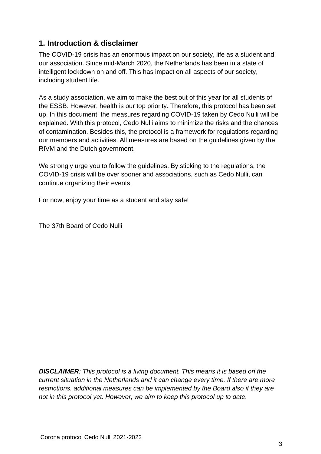## <span id="page-2-0"></span>**1. Introduction & disclaimer**

The COVID-19 crisis has an enormous impact on our society, life as a student and our association. Since mid-March 2020, the Netherlands has been in a state of intelligent lockdown on and off. This has impact on all aspects of our society, including student life.

As a study association, we aim to make the best out of this year for all students of the ESSB. However, health is our top priority. Therefore, this protocol has been set up. In this document, the measures regarding COVID-19 taken by Cedo Nulli will be explained. With this protocol, Cedo Nulli aims to minimize the risks and the chances of contamination. Besides this, the protocol is a framework for regulations regarding our members and activities. All measures are based on the guidelines given by the RIVM and the Dutch government.

We strongly urge you to follow the guidelines. By sticking to the regulations, the COVID-19 crisis will be over sooner and associations, such as Cedo Nulli, can continue organizing their events.

For now, enjoy your time as a student and stay safe!

The 37th Board of Cedo Nulli

*DISCLAIMER: This protocol is a living document. This means it is based on the current situation in the Netherlands and it can change every time. If there are more restrictions, additional measures can be implemented by the Board also if they are not in this protocol yet. However, we aim to keep this protocol up to date.*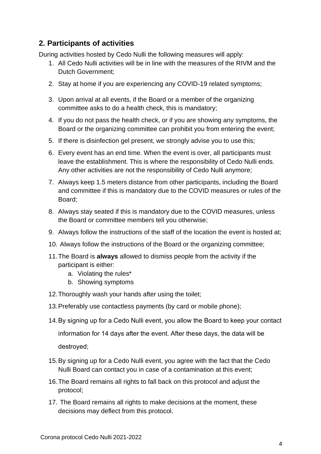# <span id="page-3-0"></span>**2. Participants of activities**

During activities hosted by Cedo Nulli the following measures will apply:

- 1. All Cedo Nulli activities will be in line with the measures of the RIVM and the Dutch Government;
- 2. Stay at home if you are experiencing any COVID-19 related symptoms;
- 3. Upon arrival at all events, if the Board or a member of the organizing committee asks to do a health check, this is mandatory;
- 4. If you do not pass the health check, or if you are showing any symptoms, the Board or the organizing committee can prohibit you from entering the event;
- 5. If there is disinfection gel present, we strongly advise you to use this;
- 6. Every event has an end time. When the event is over, all participants must leave the establishment. This is where the responsibility of Cedo Nulli ends. Any other activities are not the responsibility of Cedo Nulli anymore;
- 7. Always keep 1.5 meters distance from other participants, including the Board and committee if this is mandatory due to the COVID measures or rules of the Board;
- 8. Always stay seated if this is mandatory due to the COVID measures, unless the Board or committee members tell you otherwise;
- 9. Always follow the instructions of the staff of the location the event is hosted at;
- 10. Always follow the instructions of the Board or the organizing committee;
- 11.The Board is **always** allowed to dismiss people from the activity if the participant is either:
	- a. Violating the rules\*
	- b. Showing symptoms
- 12.Thoroughly wash your hands after using the toilet;
- 13.Preferably use contactless payments (by card or mobile phone);
- 14.By signing up for a Cedo Nulli event, you allow the Board to keep your contact

information for 14 days after the event. After these days, the data will be destroyed;

- 15.By signing up for a Cedo Nulli event, you agree with the fact that the Cedo Nulli Board can contact you in case of a contamination at this event;
- 16.The Board remains all rights to fall back on this protocol and adjust the protocol;
- 17. The Board remains all rights to make decisions at the moment, these decisions may deflect from this protocol.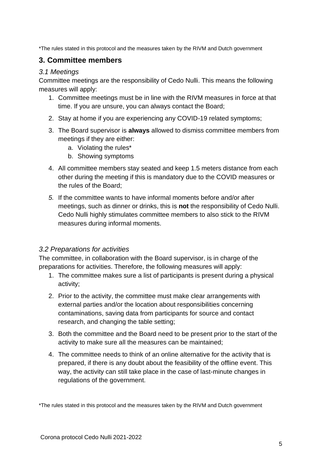\*The rules stated in this protocol and the measures taken by the RIVM and Dutch government

## <span id="page-4-0"></span>**3. Committee members**

#### <span id="page-4-1"></span>*3.1 Meetings*

Committee meetings are the responsibility of Cedo Nulli. This means the following measures will apply:

- 1. Committee meetings must be in line with the RIVM measures in force at that time. If you are unsure, you can always contact the Board;
- 2. Stay at home if you are experiencing any COVID-19 related symptoms;
- 3. The Board supervisor is **always** allowed to dismiss committee members from meetings if they are either:
	- a. Violating the rules\*
	- b. Showing symptoms
- 4. All committee members stay seated and keep 1.5 meters distance from each other during the meeting if this is mandatory due to the COVID measures or the rules of the Board;
- *5.* If the committee wants to have informal moments before and/or after meetings, such as dinner or drinks, this is **not** the responsibility of Cedo Nulli. Cedo Nulli highly stimulates committee members to also stick to the RIVM measures during informal moments.

#### <span id="page-4-2"></span>*3.2 Preparations for activities*

The committee, in collaboration with the Board supervisor, is in charge of the preparations for activities. Therefore, the following measures will apply:

- 1. The committee makes sure a list of participants is present during a physical activity;
- 2. Prior to the activity, the committee must make clear arrangements with external parties and/or the location about responsibilities concerning contaminations, saving data from participants for source and contact research, and changing the table setting;
- 3. Both the committee and the Board need to be present prior to the start of the activity to make sure all the measures can be maintained;
- 4. The committee needs to think of an online alternative for the activity that is prepared, if there is any doubt about the feasibility of the offline event. This way, the activity can still take place in the case of last-minute changes in regulations of the government.

\*The rules stated in this protocol and the measures taken by the RIVM and Dutch government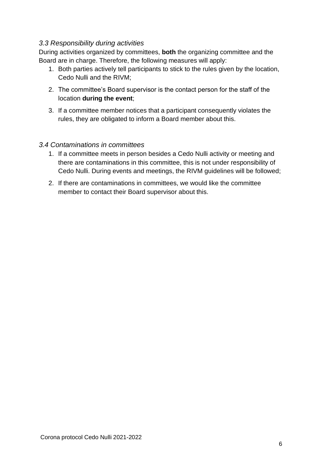#### <span id="page-5-0"></span>*3.3 Responsibility during activities*

During activities organized by committees, **both** the organizing committee and the Board are in charge. Therefore, the following measures will apply:

- 1. Both parties actively tell participants to stick to the rules given by the location, Cedo Nulli and the RIVM;
- 2. The committee's Board supervisor is the contact person for the staff of the location **during the event**;
- 3. If a committee member notices that a participant consequently violates the rules, they are obligated to inform a Board member about this.

#### <span id="page-5-1"></span>*3.4 Contaminations in committees*

- 1. If a committee meets in person besides a Cedo Nulli activity or meeting and there are contaminations in this committee, this is not under responsibility of Cedo Nulli. During events and meetings, the RIVM guidelines will be followed;
- 2. If there are contaminations in committees, we would like the committee member to contact their Board supervisor about this.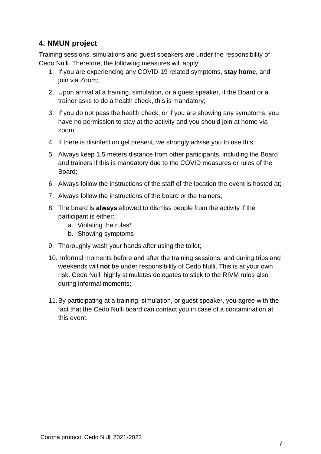# <span id="page-6-0"></span>**4. NMUN project**

Training sessions, simulations and guest speakers are under the responsibility of Cedo Nulli. Therefore, the following measures will apply:

- 1. If you are experiencing any COVID-19 related symptoms, **stay home,** and join via Zoom;
- 2. Upon arrival at a training, simulation, or a guest speaker, if the Board or a trainer asks to do a health check, this is mandatory;
- 3. If you do not pass the health check, or if you are showing any symptoms, you have no permission to stay at the activity and you should join at home via zoom;
- 4. If there is disinfection gel present, we strongly advise you to use this;
- 5. Always keep 1.5 meters distance from other participants, including the Board and trainers if this is mandatory due to the COVID measures or rules of the Board;
- 6. Always follow the instructions of the staff of the location the event is hosted at;
- 7. Always follow the instructions of the board or the trainers;
- 8. The board is **always** allowed to dismiss people from the activity if the participant is either:
	- a. Violating the rules\*
	- b. Showing symptoms
- 9. Thoroughly wash your hands after using the toilet;
- 10. Informal moments before and after the training sessions, and during trips and weekends will **not** be under responsibility of Cedo Nulli. This is at your own risk. Cedo Nulli highly stimulates delegates to stick to the RIVM rules also during informal moments;
- 11.By participating at a training, simulation, or guest speaker, you agree with the fact that the Cedo Nulli board can contact you in case of a contamination at this event.